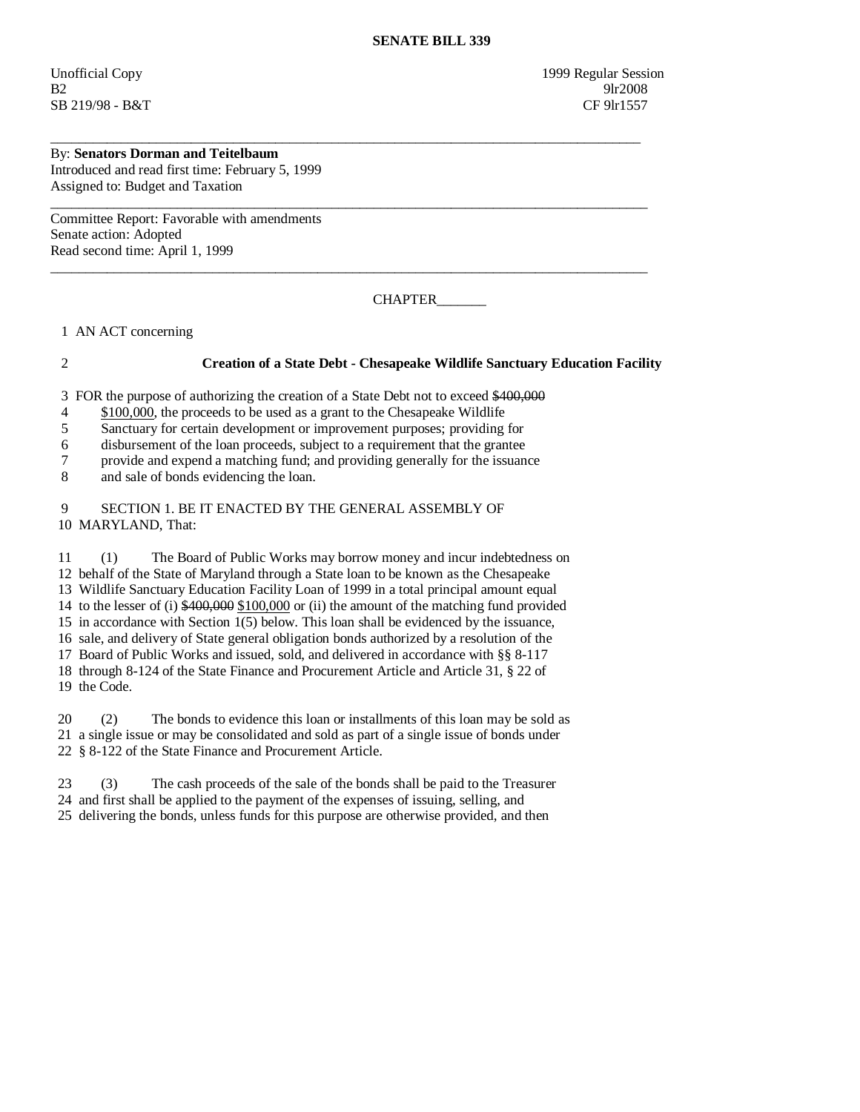Unofficial Copy 1999 Regular Session B2 9lr2008 SB 219/98 - B&T CF 9lr1557

## By: **Senators Dorman and Teitelbaum**

Introduced and read first time: February 5, 1999 Assigned to: Budget and Taxation

Committee Report: Favorable with amendments Senate action: Adopted Read second time: April 1, 1999

CHAPTER\_\_\_\_\_\_\_

1 AN ACT concerning

## 2 **Creation of a State Debt - Chesapeake Wildlife Sanctuary Education Facility**

3 FOR the purpose of authorizing the creation of a State Debt not to exceed \$400,000

\_\_\_\_\_\_\_\_\_\_\_\_\_\_\_\_\_\_\_\_\_\_\_\_\_\_\_\_\_\_\_\_\_\_\_\_\_\_\_\_\_\_\_\_\_\_\_\_\_\_\_\_\_\_\_\_\_\_\_\_\_\_\_\_\_\_\_\_\_\_\_\_\_\_\_\_\_\_\_\_\_\_\_\_

 $\overline{\phantom{a}}$  ,  $\overline{\phantom{a}}$  ,  $\overline{\phantom{a}}$  ,  $\overline{\phantom{a}}$  ,  $\overline{\phantom{a}}$  ,  $\overline{\phantom{a}}$  ,  $\overline{\phantom{a}}$  ,  $\overline{\phantom{a}}$  ,  $\overline{\phantom{a}}$  ,  $\overline{\phantom{a}}$  ,  $\overline{\phantom{a}}$  ,  $\overline{\phantom{a}}$  ,  $\overline{\phantom{a}}$  ,  $\overline{\phantom{a}}$  ,  $\overline{\phantom{a}}$  ,  $\overline{\phantom{a}}$ 

 $\overline{\phantom{a}}$  ,  $\overline{\phantom{a}}$  ,  $\overline{\phantom{a}}$  ,  $\overline{\phantom{a}}$  ,  $\overline{\phantom{a}}$  ,  $\overline{\phantom{a}}$  ,  $\overline{\phantom{a}}$  ,  $\overline{\phantom{a}}$  ,  $\overline{\phantom{a}}$  ,  $\overline{\phantom{a}}$  ,  $\overline{\phantom{a}}$  ,  $\overline{\phantom{a}}$  ,  $\overline{\phantom{a}}$  ,  $\overline{\phantom{a}}$  ,  $\overline{\phantom{a}}$  ,  $\overline{\phantom{a}}$ 

- 4 \$100,000, the proceeds to be used as a grant to the Chesapeake Wildlife
- 5 Sanctuary for certain development or improvement purposes; providing for

6 disbursement of the loan proceeds, subject to a requirement that the grantee

7 provide and expend a matching fund; and providing generally for the issuance

8 and sale of bonds evidencing the loan.

 9 SECTION 1. BE IT ENACTED BY THE GENERAL ASSEMBLY OF 10 MARYLAND, That:

 11 (1) The Board of Public Works may borrow money and incur indebtedness on 12 behalf of the State of Maryland through a State loan to be known as the Chesapeake 13 Wildlife Sanctuary Education Facility Loan of 1999 in a total principal amount equal 14 to the lesser of (i) \$400,000 \$100,000 or (ii) the amount of the matching fund provided 15 in accordance with Section 1(5) below. This loan shall be evidenced by the issuance, 16 sale, and delivery of State general obligation bonds authorized by a resolution of the 17 Board of Public Works and issued, sold, and delivered in accordance with §§ 8-117 18 through 8-124 of the State Finance and Procurement Article and Article 31, § 22 of 19 the Code.

 20 (2) The bonds to evidence this loan or installments of this loan may be sold as 21 a single issue or may be consolidated and sold as part of a single issue of bonds under 22 § 8-122 of the State Finance and Procurement Article.

 23 (3) The cash proceeds of the sale of the bonds shall be paid to the Treasurer 24 and first shall be applied to the payment of the expenses of issuing, selling, and 25 delivering the bonds, unless funds for this purpose are otherwise provided, and then